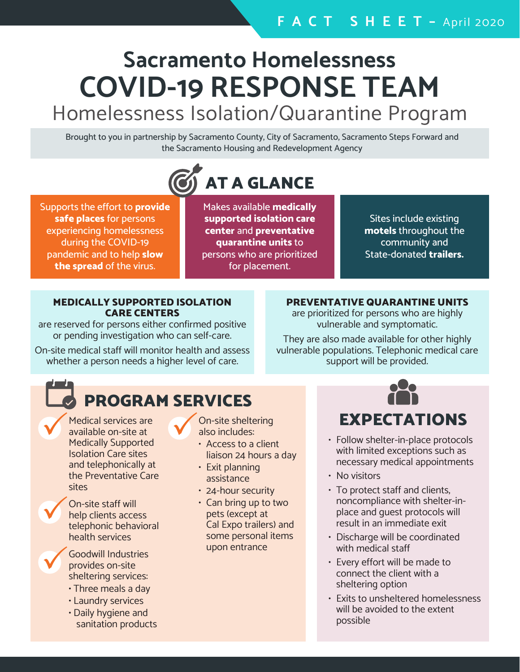# **Sacramento Homelessness COVID-19 RESPONSE TEAM**

# Homelessness Isolation/Quarantine Program

Brought to you in partnership by Sacramento County, City of Sacramento, Sacramento Steps Forward and the Sacramento Housing and Redevelopment Agency



Supports the effort to **provide safe places** for persons experiencing homelessness during the COVID-19 pandemic and to help **slow the spread** of the virus.

Makes available **medically supported isolation care center** and **preventative quarantine units** to persons who are prioritized for placement.

Sites include existing **motels** throughout the community and State-donated **trailers.**

#### MEDICALLY SUPPORTED ISOLATION CARE CENTERS

are reserved for persons either confirmed positive or pending investigation who can self-care.

On-site medical staff will monitor health and assess whether a person needs a higher level of care.

### PREVENTATIVE QUARANTINE UNITS

are prioritized for persons who are highly vulnerable and symptomatic.

They are also made available for other highly vulnerable populations. Telephonic medical care support will be provided.

# PROGRAM SERVICES

Medical services are

available on-site at Medically Supported Isolation Care sites and telephonically at the Preventative Care sites

On-site staff will help clients access telephonic behavioral health services



Goodwill Industries provides on-site sheltering services:

- Three meals a day
- Laundry services
- Daily hygiene and sanitation products

On-site sheltering also includes:

- Access to a client liaison 24 hours a day
- Exit planning assistance
- 24-hour security
- Can bring up to two pets (except at Cal Expo trailers) and some personal items upon entrance



- Follow shelter-in-place protocols with limited exceptions such as necessary medical appointments
- No visitors
- To protect staff and clients, noncompliance with shelter-inplace and guest protocols will result in an immediate exit
- Discharge will be coordinated with medical staff
- Every effort will be made to connect the client with a sheltering option
- Exits to unsheltered homelessness will be avoided to the extent possible